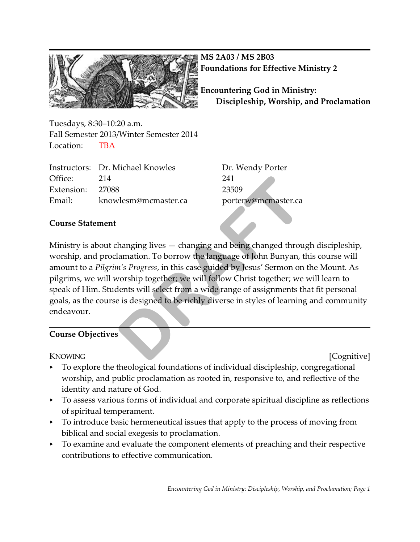

**MS 2A03 / MS 2B03 Foundations for Effective Ministry 2**

**Encountering God in Ministry: Discipleship, Worship, and Proclamation**

Tuesdays, 8:30–10:20 a.m. Fall Semester 2013/Winter Semester 2014 Location: TBA

|                  | Instructors: Dr. Michael Knowles | Dr. W  |
|------------------|----------------------------------|--------|
| Office:          | 214                              | 241    |
| Extension: 27088 |                                  | 23509  |
| Email:           | knowlesm@mcmaster.ca             | porter |

Dr. Wendy Porter porterw@mcmaster.ca

### **Course Statement**

Ministry is about changing lives — changing and being changed through discipleship, worship, and proclamation. To borrow the language of John Bunyan, this course will amount to a *Pilgrim's Progress*, in this case guided by Jesus' Sermon on the Mount. As pilgrims, we will worship together; we will follow Christ together; we will learn to speak of Him. Students will select from a wide range of assignments that fit personal goals, as the course is designed to be richly diverse in styles of learning and community endeavour. 241<br>
23509<br>
vlesm@mcmaster.ca<br>
porterw@mcmaster.ca<br>
hanging lives — changing and being changed throu<br>
lamation. To borrow the language of John Bunyan, t<br> *n's Progress,* in this case guided by Jesus' Sermon on<br>
vorship tog

### **Course Objectives**

KNOWING [Cognitive]

- < To explore the theological foundations of individual discipleship, congregational worship, and public proclamation as rooted in, responsive to, and reflective of the identity and nature of God.
- < To assess various forms of individual and corporate spiritual discipline as reflections of spiritual temperament.
- $\triangleright$  To introduce basic hermeneutical issues that apply to the process of moving from biblical and social exegesis to proclamation.
- To examine and evaluate the component elements of preaching and their respective contributions to effective communication.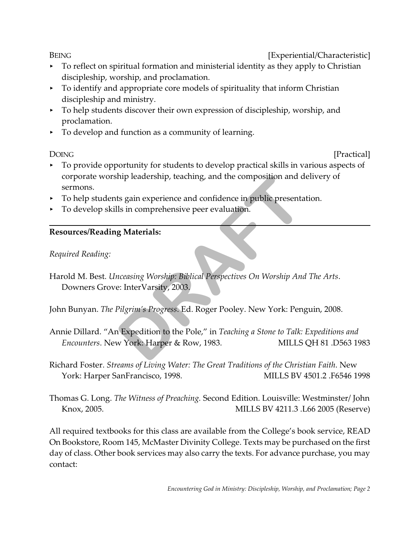BEING **EXPERIENG EXPERIENC EXPERIENC EXPERIENC EXPERIENC EXPERIENC EXPERIENC EXPERIENC EXPERIENC EXPERIENC** 

- $\triangleright$  To reflect on spiritual formation and ministerial identity as they apply to Christian discipleship, worship, and proclamation.
- < To identify and appropriate core models of spirituality that inform Christian discipleship and ministry.
- < To help students discover their own expression of discipleship, worship, and proclamation.
- $\triangleright$  To develop and function as a community of learning.

DOING [Practical]

- < To provide opportunity for students to develop practical skills in various aspects of corporate worship leadership, teaching, and the composition and delivery of sermons.
- < To help students gain experience and confidence in public presentation.
- < To develop skills in comprehensive peer evaluation.

# **Resources/Reading Materials:**

# *Required Reading:*

Harold M. Best. *Unceasing Worship: Biblical Perspectives On Worship And The Arts*. Downers Grove: InterVarsity, 2003. np leadership, teaching, and the composition and d<br>ts gain experience and confidence in public presentalls<br>in comprehensive peer evaluation.<br>**g Materials:**<br>necessing Worship: Biblical Perspectives On Worship And<br>e: InterVa

John Bunyan. *The Pilgrim's Progress*. Ed. Roger Pooley. New York: Penguin, 2008.

- Annie Dillard. "An Expedition to the Pole," in *Teaching a Stone to Talk: Expeditions and Encounters*. New York: Harper & Row, 1983. MILLS QH 81 .D563 1983
- Richard Foster. *Streams of Living Water: The Great Traditions of the Christian Faith*. New York: Harper SanFrancisco, 1998. MILLS BV 4501.2 .F6546 1998
- Thomas G. Long. *The Witness of Preaching.* Second Edition. Louisville: Westminster/ John Knox, 2005. MILLS BV 4211.3 .L66 2005 (Reserve)

All required textbooks for this class are available from the College's book service, READ On Bookstore, Room 145, McMaster Divinity College. Texts may be purchased on the first day of class. Other book services may also carry the texts. For advance purchase, you may contact: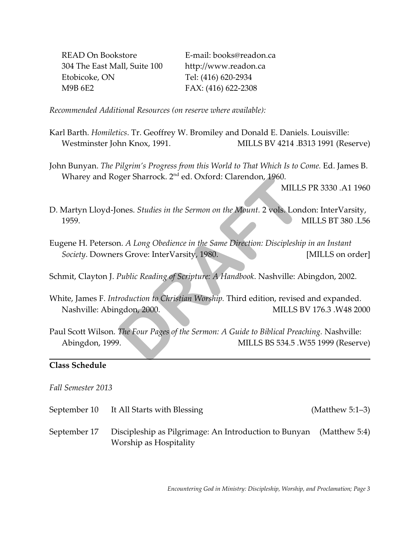READ On Bookstore E-mail: books@readon.ca 304 The East Mall, Suite 100 http://www.readon.ca Etobicoke, ON Tel: (416) 620-2934 M9B 6E2 FAX: (416) 622-2308

*Recommended Additional Resources (on reserve where available):*

- Karl Barth. *Homiletics*. Tr. Geoffrey W. Bromiley and Donald E. Daniels. Louisville: Westminster John Knox, 1991. MILLS BV 4214 .B313 1991 (Reserve)
- John Bunyan. *The Pilgrim's Progress from this World to That Which Is to Come.* Ed. James B. Wharey and Roger Sharrock. 2<sup>nd</sup> ed. Oxford: Clarendon, 1960.

MILLS PR 3330 .A1 1960

- D. Martyn Lloyd-Jones. *Studies in the Sermon on the Mount.* 2 vols. London: InterVarsity, 1959. MILLS BT 380 .L56 DRAFTIOCK. 2<sup>nd</sup> ed. Oxford: Clarendon, 1960.<br>
MILLS<br>
DRAFTIONS SIMULES<br>
DRAFTIONS SIMULES<br>
DRAFTIONS SIMUSE ON THE Variaty, 1980.<br>
Public Reading of Scripture: A Handbook. Nashville: Al<br>
Public Reading of Scripture: A Han
- Eugene H. Peterson. *A Long Obedience in the Same Direction: Discipleship in an Instant Society*. Downers Grove: InterVarsity, 1980. [MILLS on order]

Schmit, Clayton J. *Public Reading of Scripture: A Handbook*. Nashville: Abingdon, 2002.

- White, James F. *Introduction to Christian Worship.* Third edition, revised and expanded. Nashville: Abingdon, 2000. MILLS BV 176.3 .W48 2000
- Paul Scott Wilson. *The Four Pages of the Sermon: A Guide to Biblical Preaching.* Nashville: Abingdon, 1999. MILLS BS 534.5 .W55 1999 (Reserve)

### **Class Schedule**

### *Fall Semester 2013*

- September 10 It All Starts with Blessing (Matthew 5:1–3)
- September 17 Discipleship as Pilgrimage: An Introduction to Bunyan (Matthew 5:4) Worship as Hospitality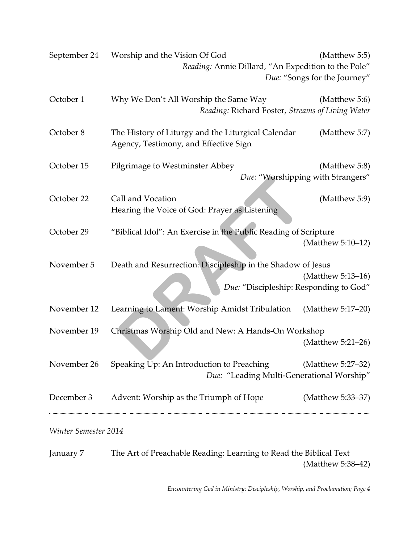| September 24 | Worship and the Vision Of God<br>Reading: Annie Dillard, "An Expedition to the Pole"        | (Matthew 5:5)<br>Due: "Songs for the Journey"      |
|--------------|---------------------------------------------------------------------------------------------|----------------------------------------------------|
| October 1    | Why We Don't All Worship the Same Way<br>Reading: Richard Foster, Streams of Living Water   | (Matthew 5:6)                                      |
| October 8    | The History of Liturgy and the Liturgical Calendar<br>Agency, Testimony, and Effective Sign | (Matthew 5:7)                                      |
| October 15   | Pilgrimage to Westminster Abbey                                                             | (Matthew 5:8)<br>Due: "Worshipping with Strangers" |
| October 22   | Call and Vocation<br>Hearing the Voice of God: Prayer as Listening                          | (Matthew 5:9)                                      |
| October 29   | "Biblical Idol": An Exercise in the Public Reading of Scripture                             | (Matthew 5:10-12)                                  |
| November 5   | Death and Resurrection: Discipleship in the Shadow of Jesus                                 |                                                    |
|              |                                                                                             | (Matthew 5:13-16)                                  |
|              | Due: "Discipleship: Responding to God"                                                      |                                                    |
| November 12  | Learning to Lament: Worship Amidst Tribulation                                              | (Matthew 5:17-20)                                  |
| November 19  | Christmas Worship Old and New: A Hands-On Workshop                                          |                                                    |
|              |                                                                                             | (Matthew 5:21-26)                                  |
| November 26  | Speaking Up: An Introduction to Preaching<br>Due: "Leading Multi-Generational Worship"      | (Matthew 5:27–32)                                  |
| December 3   | Advent: Worship as the Triumph of Hope                                                      | (Matthew 5:33–37)                                  |

*Winter Semester 2014*

January 7 The Art of Preachable Reading: Learning to Read the Biblical Text (Matthew 5:38–42)

*Encountering God in Ministry: Discipleship, Worship, and Proclamation; Page 4*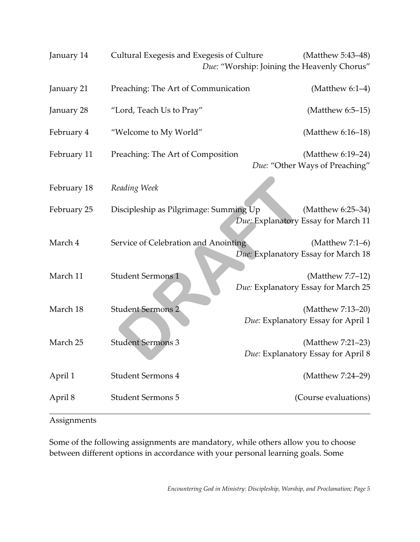| January 14  | Cultural Exegesis and Exegesis of Culture | (Matthew 5:43-48)                                         |
|-------------|-------------------------------------------|-----------------------------------------------------------|
|             |                                           | Due: "Worship: Joining the Heavenly Chorus"               |
| January 21  | Preaching: The Art of Communication       | (Matthew $6:1-4$ )                                        |
| January 28  | "Lord, Teach Us to Pray"                  | (Matthew $6:5-15$ )                                       |
| February 4  | "Welcome to My World"                     | (Matthew 6:16-18)                                         |
| February 11 | Preaching: The Art of Composition         | (Matthew 6:19-24)<br>Due: "Other Ways of Preaching"       |
| February 18 | Reading Week                              |                                                           |
| February 25 | Discipleship as Pilgrimage: Summing Up    | (Matthew 6:25–34)<br>Due: Explanatory Essay for March 11  |
| March 4     | Service of Celebration and Anointing      | (Matthew $7:1-6$ )<br>Due: Explanatory Essay for March 18 |
| March 11    | <b>Student Sermons 1</b>                  | (Matthew 7:7-12)<br>Due: Explanatory Essay for March 25   |
| March 18    | <b>Student Sermons 2</b>                  | (Matthew 7:13-20)<br>Due: Explanatory Essay for April 1   |
| March 25    | <b>Student Sermons 3</b>                  | (Matthew 7:21-23)<br>Due: Explanatory Essay for April 8   |
| April 1     | <b>Student Sermons 4</b>                  | (Matthew 7:24-29)                                         |
| April 8     | <b>Student Sermons 5</b>                  | (Course evaluations)                                      |

### Assignments

Some of the following assignments are mandatory, while others allow you to choose between different options in accordance with your personal learning goals. Some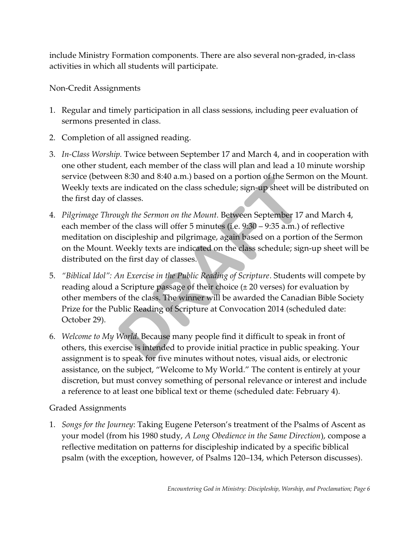include Ministry Formation components. There are also several non-graded, in-class activities in which all students will participate.

Non-Credit Assignments

- 1. Regular and timely participation in all class sessions, including peer evaluation of sermons presented in class.
- 2. Completion of all assigned reading.
- 3. *In-Class Worship.* Twice between September 17 and March 4, and in cooperation with one other student, each member of the class will plan and lead a 10 minute worship service (between 8:30 and 8:40 a.m.) based on a portion of the Sermon on the Mount. Weekly texts are indicated on the class schedule; sign-up sheet will be distributed on the first day of classes.
- 4. *Pilgrimage Through the Sermon on the Mount.* Between September 17 and March 4, each member of the class will offer 5 minutes (i.e. 9:30 – 9:35 a.m.) of reflective meditation on discipleship and pilgrimage, again based on a portion of the Sermon on the Mount. Weekly texts are indicated on the class schedule; sign-up sheet will be distributed on the first day of classes.
- 5. *"Biblical Idol": An Exercise in the Public Reading of Scripture*. Students will compete by reading aloud a Scripture passage of their choice  $(\pm 20 \text{ versus})$  for evaluation by other members of the class. The winner will be awarded the Canadian Bible Society Prize for the Public Reading of Scripture at Convocation 2014 (scheduled date: October 29). In 8:30 and 8:40 a.m.) based on a portion of the Serm<br>re indicated on the class schedule; sign-up sheet will<br>classes.<br>*Ugh the Sermon on the Mount.* Between September 17<br>f the class will offer 5 minutes (i.e. 9:30 – 9:35 a
- 6. *Welcome to My World.* Because many people find it difficult to speak in front of others, this exercise is intended to provide initial practice in public speaking. Your assignment is to speak for five minutes without notes, visual aids, or electronic assistance, on the subject, "Welcome to My World." The content is entirely at your discretion, but must convey something of personal relevance or interest and include a reference to at least one biblical text or theme (scheduled date: February 4).

## Graded Assignments

1. *Songs for the Journey*: Taking Eugene Peterson's treatment of the Psalms of Ascent as your model (from his 1980 study, *A Long Obedience in the Same Direction*), compose a reflective meditation on patterns for discipleship indicated by a specific biblical psalm (with the exception, however, of Psalms 120–134, which Peterson discusses).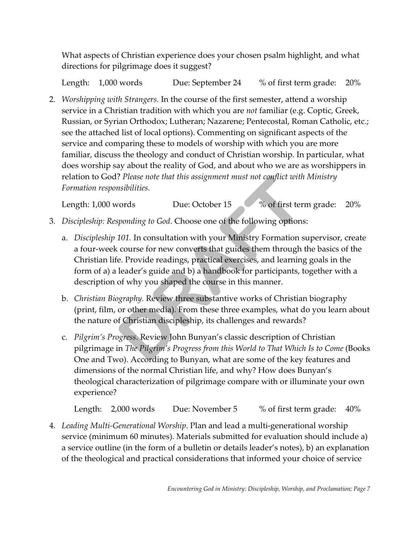What aspects of Christian experience does your chosen psalm highlight, and what directions for pilgrimage does it suggest?

Length: 1,000 words Due: September 24 % of first term grade: 20%

2. *Worshipping with Strangers.* In the course of the first semester, attend a worship service in a Christian tradition with which you are *not* familiar (e.g. Coptic, Greek, Russian, or Syrian Orthodox; Lutheran; Nazarene; Pentecostal, Roman Catholic, etc.; see the attached list of local options). Commenting on significant aspects of the service and comparing these to models of worship with which you are more familiar, discuss the theology and conduct of Christian worship. In particular, what does worship say about the reality of God, and about who we are as worshippers in relation to God? *Please note that this assignment must not conflict with Ministry Formation responsibilities.* 

Length: 1,000 words Due: October 15 % of first term grade: 20%

- 3. *Discipleship: Responding to God*. Choose one of the following options:
- a. *Discipleship 101.* In consultation with your Ministry Formation supervisor, create a four-week course for new converts that guides them through the basics of the Christian life. Provide readings, practical exercises, and learning goals in the form of a) a leader's guide and b) a handbook for participants, together with a description of why you shaped the course in this manner. *Please note that this assignment must not conflict with*<br>msibilities.<br>Due: October 15 % of first term<br>sponding to God. Choose one of the following options<br>101. In consultation with your Ministry Formation is<br>course for ne
	- b. *Christian Biography.* Review three substantive works of Christian biography (print, film, or other media). From these three examples, what do you learn about the nature of Christian discipleship, its challenges and rewards?
	- c. *Pilgrim's Progress*. Review John Bunyan's classic description of Christian pilgrimage in *The Pilgrim's Progress from this World to That Which Is to Come* (Books One and Two). According to Bunyan, what are some of the key features and dimensions of the normal Christian life, and why? How does Bunyan's theological characterization of pilgrimage compare with or illuminate your own experience?

Length: 2,000 words Due: November 5 % of first term grade: 40%

4. *Leading Multi-Generational Worship*. Plan and lead a multi-generational worship service (minimum 60 minutes). Materials submitted for evaluation should include a) a service outline (in the form of a bulletin or details leader's notes), b) an explanation of the theological and practical considerations that informed your choice of service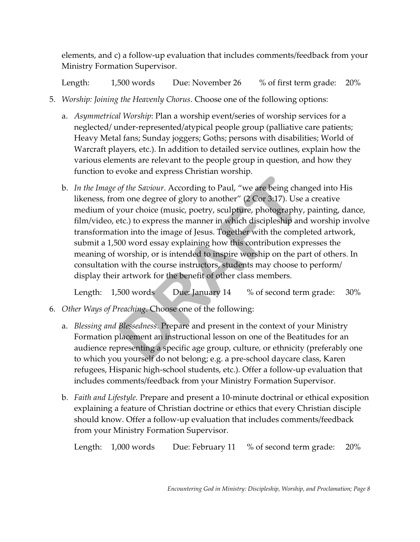elements, and c) a follow-up evaluation that includes comments/feedback from your Ministry Formation Supervisor.

Length: 1,500 words Due: November 26 % of first term grade: 20%

- 5. *Worship: Joining the Heavenly Chorus*. Choose one of the following options:
	- a. *Asymmetrical Worship*: Plan a worship event/series of worship services for a neglected/ under-represented/atypical people group (palliative care patients; Heavy Metal fans; Sunday joggers; Goths; persons with disabilities; World of Warcraft players, etc.). In addition to detailed service outlines, explain how the various elements are relevant to the people group in question, and how they function to evoke and express Christian worship.
	- b. *In the Image of the Saviour*. According to Paul, "we are being changed into His likeness, from one degree of glory to another" (2 Cor 3:17). Use a creative medium of your choice (music, poetry, sculpture, photography, painting, dance, film/video, etc.) to express the manner in which discipleship and worship involve transformation into the image of Jesus. Together with the completed artwork, submit a 1,500 word essay explaining how this contribution expresses the meaning of worship, or is intended to inspire worship on the part of others. In consultation with the course instructors, students may choose to perform/ display their artwork for the benefit of other class members. of the Saviour. According to Paul, "we are being charm one degree of glory to another" (2 Cor 3:17). Use<br>your choice (music, poetry, sculpture, photography, etc.) to express the manner in which discipleship and<br>ion into th

Length: 1,500 words Due: January 14 % of second term grade: 30%

- 6. *Other Ways of Preaching*. Choose one of the following:
	- a. *Blessing and Blessedness*. Prepare and present in the context of your Ministry Formation placement an instructional lesson on one of the Beatitudes for an audience representing a specific age group, culture, or ethnicity (preferably one to which you yourself do not belong; e.g. a pre-school daycare class, Karen refugees, Hispanic high-school students, etc.). Offer a follow-up evaluation that includes comments/feedback from your Ministry Formation Supervisor.
	- b. *Faith and Lifestyle.* Prepare and present a 10-minute doctrinal or ethical exposition explaining a feature of Christian doctrine or ethics that every Christian disciple should know. Offer a follow-up evaluation that includes comments/feedback from your Ministry Formation Supervisor.

Length: 1,000 words Due: February 11 % of second term grade: 20%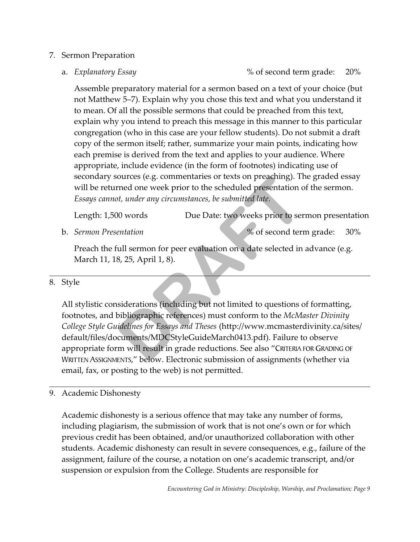### 7. Sermon Preparation

a. *Explanatory Essay* 6 and  $\%$  of second term grade: 20%

Assemble preparatory material for a sermon based on a text of your choice (but not Matthew 5–7). Explain why you chose this text and what you understand it to mean. Of all the possible sermons that could be preached from this text, explain why you intend to preach this message in this manner to this particular congregation (who in this case are your fellow students). Do not submit a draft copy of the sermon itself; rather, summarize your main points, indicating how each premise is derived from the text and applies to your audience. Where appropriate, include evidence (in the form of footnotes) indicating use of secondary sources (e.g. commentaries or texts on preaching). The graded essay will be returned one week prior to the scheduled presentation of the sermon. *Essays cannot, under any circumstances, be submitted late.*

Length: 1,500 words Due Date: two weeks prior to sermon presentation

b. *Sermon Presentation* % of second term grade: 30%

Preach the full sermon for peer evaluation on a date selected in advance (e.g. March 11, 18, 25, April 1, 8).

## 8. Style

All stylistic considerations (including but not limited to questions of formatting, footnotes, and bibliographic references) must conform to the *McMaster Divinity College Style Guidelines for Essays and Theses* (http://www.mcmasterdivinity.ca/sites/ default/files/documents/MDCStyleGuideMarch0413.pdf). Failure to observe appropriate form will result in grade reductions. See also "CRITERIA FOR GRADING OF WRITTEN ASSIGNMENTS," below. Electronic submission of assignments (whether via email, fax, or posting to the web) is not permitted. ources (e.g. commentaries or texts on preaching). If<br>tried one week prior to the scheduled presentation of<br>*DRAFT* and *DRAFT* and *DRAFT* and *DRAFT* and *DRAFT* and *DRAFT*<br>entation<br>8, 25, April 1, 8).<br>Siderations (inclu

## 9. Academic Dishonesty

Academic dishonesty is a serious offence that may take any number of forms, including plagiarism, the submission of work that is not one's own or for which previous credit has been obtained, and/or unauthorized collaboration with other students. Academic dishonesty can result in severe consequences, e.g., failure of the assignment, failure of the course, a notation on one's academic transcript, and/or suspension or expulsion from the College. Students are responsible for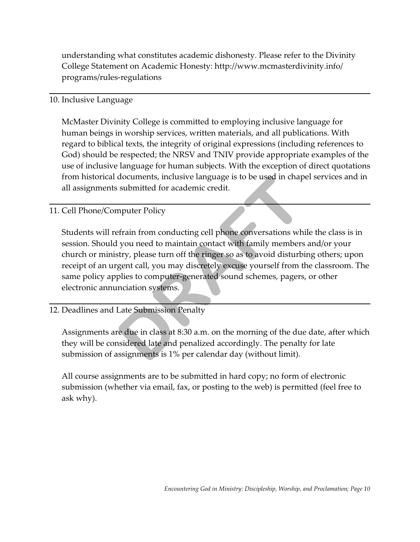understanding what constitutes academic dishonesty. Please refer to the Divinity College Statement on Academic Honesty: http://www.mcmasterdivinity.info/ programs/rules-regulations

### 10. Inclusive Language

McMaster Divinity College is committed to employing inclusive language for human beings in worship services, written materials, and all publications. With regard to biblical texts, the integrity of original expressions (including references to God) should be respected; the NRSV and TNIV provide appropriate examples of the use of inclusive language for human subjects. With the exception of direct quotations from historical documents, inclusive language is to be used in chapel services and in all assignments submitted for academic credit.

## 11. Cell Phone/Computer Policy

Students will refrain from conducting cell phone conversations while the class is in session. Should you need to maintain contact with family members and/or your church or ministry, please turn off the ringer so as to avoid disturbing others; upon receipt of an urgent call, you may discretely excuse yourself from the classroom. The same policy applies to computer-generated sound schemes, pagers, or other electronic annunciation systems. documents, inclusive language is to be used in chap<br>
submitted for academic credit.<br>
mputer Policy<br>
frain from conducting cell phone conversations wh<br>
l you need to maintain contact with family members<br>
stry, please turn o

### 12. Deadlines and Late Submission Penalty

Assignments are due in class at 8:30 a.m. on the morning of the due date, after which they will be considered late and penalized accordingly. The penalty for late submission of assignments is 1% per calendar day (without limit).

All course assignments are to be submitted in hard copy; no form of electronic submission (whether via email, fax, or posting to the web) is permitted (feel free to ask why).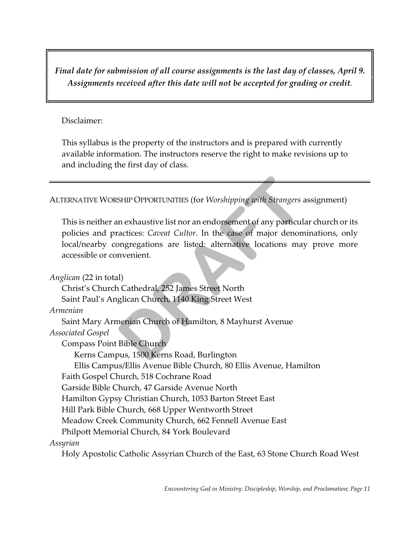*Final date for submission of all course assignments is the last day of classes, April 9. Assignments received after this date will not be accepted for grading or credit*.

### Disclaimer:

This syllabus is the property of the instructors and is prepared with currently available information. The instructors reserve the right to make revisions up to and including the first day of class.

ALTERNATIVE WORSHIP OPPORTUNITIES (for *Worshipping with Strangers* assignment)

This is neither an exhaustive list nor an endorsement of any particular church or its policies and practices: *Caveat Cultor*. In the case of major denominations, only local/nearby congregations are listed: alternative locations may prove more accessible or convenient.

*Anglican* (22 in total) Christ's Church Cathedral, 252 James Street North Saint Paul's Anglican Church, 1140 King Street West *Armenian* Saint Mary Armenian Church of Hamilton, 8 Mayhurst Avenue *Associated Gospel* Compass Point Bible Church Kerns Campus, 1500 Kerns Road, Burlington Ellis Campus/Ellis Avenue Bible Church, 80 Ellis Avenue, Hamilton Faith Gospel Church, 518 Cochrane Road Garside Bible Church, 47 Garside Avenue North Hamilton Gypsy Christian Church, 1053 Barton Street East Hill Park Bible Church, 668 Upper Wentworth Street Meadow Creek Community Church, 662 Fennell Avenue East Philpott Memorial Church, 84 York Boulevard *Assyrian*  Holy Apostolic Catholic Assyrian Church of the East, 63 Stone Church Road West SHIP OPPORTUNITIES (for *Worshipping with Strangers a*<br>
in exhaustive list nor an endorsement of any particular<br>
directices: *Caveat Cultor*. In the case of major denom<br>
ongregations are listed: alternative locations may<br>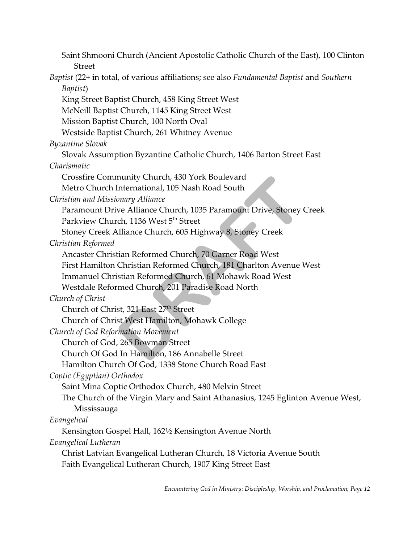Saint Shmooni Church (Ancient Apostolic Catholic Church of the East), 100 Clinton Street *Baptist* (22+ in total, of various affiliations; see also *Fundamental Baptist* and *Southern Baptist*) King Street Baptist Church, 458 King Street West McNeill Baptist Church, 1145 King Street West Mission Baptist Church, 100 North Oval Westside Baptist Church, 261 Whitney Avenue *Byzantine Slovak* Slovak Assumption Byzantine Catholic Church, 1406 Barton Street East *Charismatic* Crossfire Community Church, 430 York Boulevard Metro Church International, 105 Nash Road South *Christian and Missionary Alliance* Paramount Drive Alliance Church, 1035 Paramount Drive, Stoney Creek Parkview Church, 1136 West 5<sup>th</sup> Street Stoney Creek Alliance Church, 605 Highway 8, Stoney Creek *Christian Reformed* Ancaster Christian Reformed Church, 70 Garner Road West First Hamilton Christian Reformed Church, 181 Charlton Avenue West Immanuel Christian Reformed Church, 61 Mohawk Road West Westdale Reformed Church, 201 Paradise Road North *Church of Christ* Church of Christ, 321 East 27<sup>th</sup> Street Church of Christ West Hamilton, Mohawk College *Church of God Reformation Movement* Church of God, 265 Bowman Street Church Of God In Hamilton, 186 Annabelle Street Hamilton Church Of God, 1338 Stone Church Road East *Coptic (Egyptian) Orthodox* Saint Mina Coptic Orthodox Church, 480 Melvin Street The Church of the Virgin Mary and Saint Athanasius, 1245 Eglinton Avenue West, Mississauga *Evangelical* Kensington Gospel Hall, 162½ Kensington Avenue North *Evangelical Lutheran* Christ Latvian Evangelical Lutheran Church, 18 Victoria Avenue South Faith Evangelical Lutheran Church, 1907 King Street East munity Church, 430 York Boulevard<br>International, 105 Nash Road South<br>pnary Alliance<br>we Alliance Church, 1035 Paramount Drive, Stoney (<br>ch, 1136 West 5<sup>th</sup> Street<br>Illiance Church, 605 Highway 8, Stoney Creek<br>tian Reformed C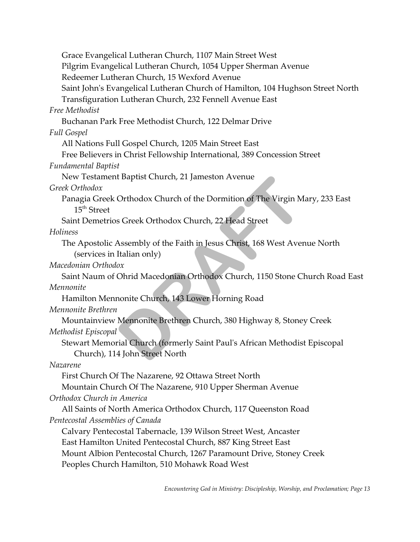Grace Evangelical Lutheran Church, 1107 Main Street West Pilgrim Evangelical Lutheran Church, 1054 Upper Sherman Avenue Redeemer Lutheran Church, 15 Wexford Avenue Saint John's Evangelical Lutheran Church of Hamilton, 104 Hughson Street North Transfiguration Lutheran Church, 232 Fennell Avenue East *Free Methodist* Buchanan Park Free Methodist Church, 122 Delmar Drive *Full Gospel* All Nations Full Gospel Church, 1205 Main Street East Free Believers in Christ Fellowship International, 389 Concession Street *Fundamental Baptist* New Testament Baptist Church, 21 Jameston Avenue *Greek Orthodox* Panagia Greek Orthodox Church of the Dormition of The Virgin Mary, 233 East  $15<sup>th</sup>$  Street Saint Demetrios Greek Orthodox Church, 22 Head Street *Holiness* The Apostolic Assembly of the Faith in Jesus Christ, 168 West Avenue North (services in Italian only) *Macedonian Orthodox* Saint Naum of Ohrid Macedonian Orthodox Church, 1150 Stone Church Road East *Mennonite* Hamilton Mennonite Church, 143 Lower Horning Road *Mennonite Brethren* Mountainview Mennonite Brethren Church, 380 Highway 8, Stoney Creek *Methodist Episcopal* Stewart Memorial Church (formerly Saint Paul's African Methodist Episcopal Church), 114 John Street North *Nazarene* First Church Of The Nazarene, 92 Ottawa Street North Mountain Church Of The Nazarene, 910 Upper Sherman Avenue *Orthodox Church in America* All Saints of North America Orthodox Church, 117 Queenston Road *Pentecostal Assemblies of Canada* Calvary Pentecostal Tabernacle, 139 Wilson Street West, Ancaster East Hamilton United Pentecostal Church, 887 King Street East Mount Albion Pentecostal Church, 1267 Paramount Drive, Stoney Creek Peoples Church Hamilton, 510 Mohawk Road West t Baptist Church, 21 Jameston Avenue<br>
Orthodox Church of the Dormition of The Virgin M<br>
s Greek Orthodox Church, 22 Head Street<br>
Assembly of the Faith in Jesus Christ, 168 West Aver<br>
Italian only)<br>
ox<br>
Ohrid Macedonian Ort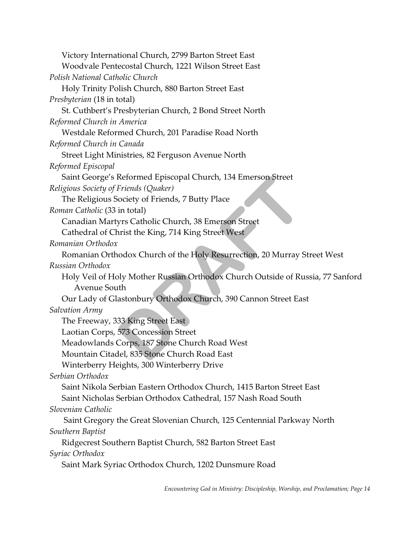| Victory International Church, 2799 Barton Street East<br>Woodvale Pentecostal Church, 1221 Wilson Street East |
|---------------------------------------------------------------------------------------------------------------|
| Polish National Catholic Church                                                                               |
| Holy Trinity Polish Church, 880 Barton Street East                                                            |
| <i>Presbyterian</i> (18 in total)                                                                             |
| St. Cuthbert's Presbyterian Church, 2 Bond Street North                                                       |
| Reformed Church in America                                                                                    |
| Westdale Reformed Church, 201 Paradise Road North                                                             |
| Reformed Church in Canada                                                                                     |
| Street Light Ministries, 82 Ferguson Avenue North                                                             |
| Reformed Episcopal                                                                                            |
| Saint George's Reformed Episcopal Church, 134 Emerson Street                                                  |
| Religious Society of Friends (Quaker)                                                                         |
| The Religious Society of Friends, 7 Butty Place                                                               |
| Roman Catholic (33 in total)                                                                                  |
| Canadian Martyrs Catholic Church, 38 Emerson Street                                                           |
| Cathedral of Christ the King, 714 King Street West                                                            |
| Romanian Orthodox                                                                                             |
| Romanian Orthodox Church of the Holy Resurrection, 20 Murray Street West                                      |
| Russian Orthodox                                                                                              |
| Holy Veil of Holy Mother Russian Orthodox Church Outside of Russia, 77 Sanford                                |
| Avenue South                                                                                                  |
| Our Lady of Glastonbury Orthodox Church, 390 Cannon Street East                                               |
| Salvation Army                                                                                                |
| The Freeway, 333 King Street East                                                                             |
| Laotian Corps, 573 Concession Street                                                                          |
| Meadowlands Corps, 187 Stone Church Road West                                                                 |
| Mountain Citadel, 835 Stone Church Road East                                                                  |
| Winterberry Heights, 300 Winterberry Drive                                                                    |
| Serbian Orthodox                                                                                              |
| Saint Nikola Serbian Eastern Orthodox Church, 1415 Barton Street East                                         |
| Saint Nicholas Serbian Orthodox Cathedral, 157 Nash Road South                                                |
| Slovenian Catholic                                                                                            |
| Saint Gregory the Great Slovenian Church, 125 Centennial Parkway North                                        |
| Southern Baptist                                                                                              |
| Ridgecrest Southern Baptist Church, 582 Barton Street East                                                    |
| Syriac Orthodox                                                                                               |
| Saint Mark Syriac Orthodox Church, 1202 Dunsmure Road                                                         |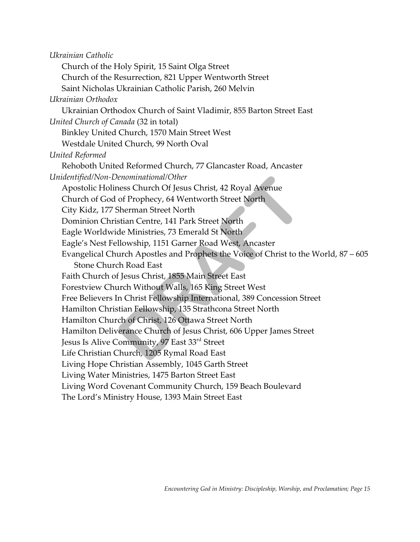*Ukrainian Catholic* Church of the Holy Spirit, 15 Saint Olga Street Church of the Resurrection, 821 Upper Wentworth Street Saint Nicholas Ukrainian Catholic Parish, 260 Melvin *Ukrainian Orthodox* Ukrainian Orthodox Church of Saint Vladimir, 855 Barton Street East *United Church of Canada* (32 in total) Binkley United Church, 1570 Main Street West Westdale United Church, 99 North Oval *United Reformed* Rehoboth United Reformed Church, 77 Glancaster Road, Ancaster *Unidentified/Non-Denominational/Other* Apostolic Holiness Church Of Jesus Christ, 42 Royal Avenue Church of God of Prophecy, 64 Wentworth Street North City Kidz, 177 Sherman Street North Dominion Christian Centre, 141 Park Street North Eagle Worldwide Ministries, 73 Emerald St North Eagle's Nest Fellowship, 1151 Garner Road West, Ancaster Evangelical Church Apostles and Prophets the Voice of Christ to the World, 87 – 605 Stone Church Road East Faith Church of Jesus Christ, 1855 Main Street East Forestview Church Without Walls, 165 King Street West Free Believers In Christ Fellowship International, 389 Concession Street Hamilton Christian Fellowship, 135 Strathcona Street North Hamilton Church of Christ, 126 Ottawa Street North Hamilton Deliverance Church of Jesus Christ, 606 Upper James Street Jesus Is Alive Community, 97 East 33<sup>rd</sup> Street Life Christian Church, 1205 Rymal Road East Living Hope Christian Assembly, 1045 Garth Street Living Water Ministries, 1475 Barton Street East Living Word Covenant Community Church, 159 Beach Boulevard The Lord's Ministry House, 1393 Main Street East enominational/Other<br>ress Church Of Jesus Christ, 42 Royal Avenue<br>of Prophecy, 64 Wentworth Street North<br>Sherman Street North<br>stian Centre, 141 Park Street North<br>de Ministries, 73 Emerald St North<br>Illowship, 1151 Garner Roa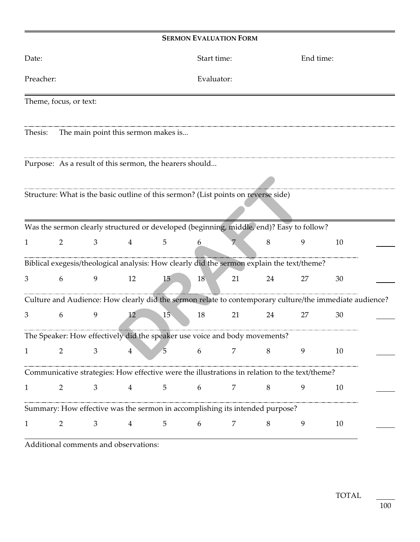| Date:                                                                                         |                                                                            |                |                                                         |                 | Start time: |                                                                                                         |    | End time: |    |  |
|-----------------------------------------------------------------------------------------------|----------------------------------------------------------------------------|----------------|---------------------------------------------------------|-----------------|-------------|---------------------------------------------------------------------------------------------------------|----|-----------|----|--|
| Preacher:                                                                                     |                                                                            |                |                                                         |                 | Evaluator:  |                                                                                                         |    |           |    |  |
| Theme, focus, or text:                                                                        |                                                                            |                |                                                         |                 |             |                                                                                                         |    |           |    |  |
| Thesis:                                                                                       |                                                                            |                | The main point this sermon makes is                     |                 |             |                                                                                                         |    |           |    |  |
|                                                                                               |                                                                            |                | Purpose: As a result of this sermon, the hearers should |                 |             |                                                                                                         |    |           |    |  |
|                                                                                               |                                                                            |                |                                                         |                 |             | Structure: What is the basic outline of this sermon? (List points on reverse side)                      |    |           |    |  |
|                                                                                               |                                                                            |                |                                                         |                 |             | Was the sermon clearly structured or developed (beginning, middle, end)? Easy to follow?                |    |           |    |  |
| 1                                                                                             | 2                                                                          | 3              | $4\degree$                                              | $\overline{5}$  | 6           |                                                                                                         | 8  | 9         | 10 |  |
|                                                                                               |                                                                            |                |                                                         |                 |             | Biblical exegesis/theological analysis: How clearly did the sermon explain the text/theme?              |    |           |    |  |
| 3                                                                                             | 6                                                                          | 9              | 12                                                      | 15 <sup>5</sup> | 18          | 21                                                                                                      | 24 | 27        | 30 |  |
|                                                                                               |                                                                            |                |                                                         |                 |             | Culture and Audience: How clearly did the sermon relate to contemporary culture/the immediate audience? |    |           |    |  |
| 3                                                                                             | 6                                                                          | $\mathbf{9}$   | 12                                                      | 15              | 18          | 21                                                                                                      | 24 | 27        | 30 |  |
|                                                                                               | The Speaker: How effectively did the speaker use voice and body movements? |                |                                                         |                 |             |                                                                                                         |    |           |    |  |
| 1                                                                                             | 2                                                                          | 3              | $\overline{4}$                                          | $\sqrt{5}$      | 6           | 7                                                                                                       | 8  | 9         | 10 |  |
| Communicative strategies: How effective were the illustrations in relation to the text/theme? |                                                                            |                |                                                         |                 |             |                                                                                                         |    |           |    |  |
| $\mathbf{1}$                                                                                  | 2                                                                          | $\mathfrak{Z}$ | $\overline{4}$                                          | $5\overline{)}$ | 6           | 7                                                                                                       | 8  | 9         | 10 |  |
| Summary: How effective was the sermon in accomplishing its intended purpose?                  |                                                                            |                |                                                         |                 |             |                                                                                                         |    |           |    |  |
| $\mathbf{1}$                                                                                  | $\overline{2}$                                                             | 3              | $\overline{4}$                                          | 5               | 6           | 7                                                                                                       | 8  | 9         | 10 |  |

Additional comments and observations: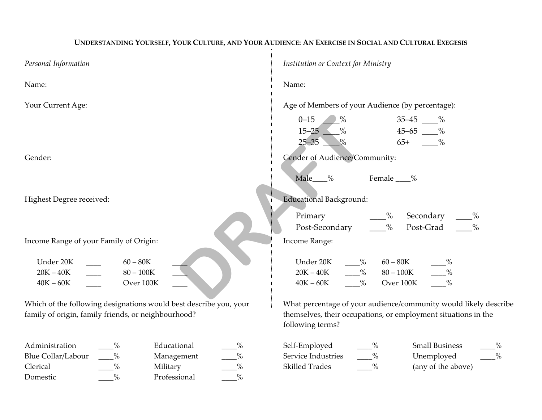### UNDERSTANDING YOURSELF, YOUR CULTURE, AND YOUR AUDIENCE: AN EXERCISE IN SOCIAL AND CULTURAL EXEGESIS  $\pm$

| Personal Information                                              | Institution or Context for Ministry                                                |  |  |  |
|-------------------------------------------------------------------|------------------------------------------------------------------------------------|--|--|--|
| Name:                                                             | Name:                                                                              |  |  |  |
| Your Current Age:                                                 | Age of Members of your Audience (by percentage):                                   |  |  |  |
|                                                                   | $0 - 15$<br>$\rightarrow$ %<br>$35 - 45$ $\_\_\_\_\$                               |  |  |  |
|                                                                   | $15 - 25$<br>$45 - 65$ %                                                           |  |  |  |
|                                                                   | $65+$ %<br>$25 - 35$<br>$\%$                                                       |  |  |  |
| Gender:                                                           | Gender of Audience/Community:                                                      |  |  |  |
|                                                                   |                                                                                    |  |  |  |
|                                                                   | Male %<br>Female ___%                                                              |  |  |  |
| Highest Degree received:                                          | <b>Educational Background:</b>                                                     |  |  |  |
|                                                                   | Secondary<br>Primary<br>$\frac{9}{6}$<br>$\frac{9}{6}$                             |  |  |  |
|                                                                   | $\%$<br>Post-Grad<br>Post-Secondary<br>$\%$                                        |  |  |  |
| Income Range of your Family of Origin:                            | Income Range:                                                                      |  |  |  |
| Under 20K<br>$60 - 80K$                                           | Under 20K<br>$60 - 80K$<br>$\frac{9}{6}$                                           |  |  |  |
| $20K - 40K$<br>$80 - 100K$                                        | $ \frac{\%}{\%}$<br>$20K - 40K$<br>$80 - 100K$                                     |  |  |  |
| Over 100K<br>$40K - 60K$                                          | $\%$<br>$\%$<br>Over 100K<br>$40K - 60K$                                           |  |  |  |
|                                                                   |                                                                                    |  |  |  |
| Which of the following designations would best describe you, your | What percentage of your audience/community would likely describe                   |  |  |  |
| family of origin, family friends, or neighbourhood?               | themselves, their occupations, or employment situations in the<br>following terms? |  |  |  |
| Administration<br>Educational<br>$\%$                             | <b>Small Business</b><br>Self-Employed<br>$-$ %                                    |  |  |  |
| Blue Collar/Labour<br>$\%$<br>Management                          | $^{0}_{0}$<br>Service Industries<br>Unemployed                                     |  |  |  |
| $\%$<br>$\frac{0}{0}$<br>Clerical<br>Military                     | Skilled Trades<br>$\frac{0}{0}$<br>(any of the above)                              |  |  |  |
| $\%$<br>$\frac{0}{0}$<br>Professional<br>Domestic                 |                                                                                    |  |  |  |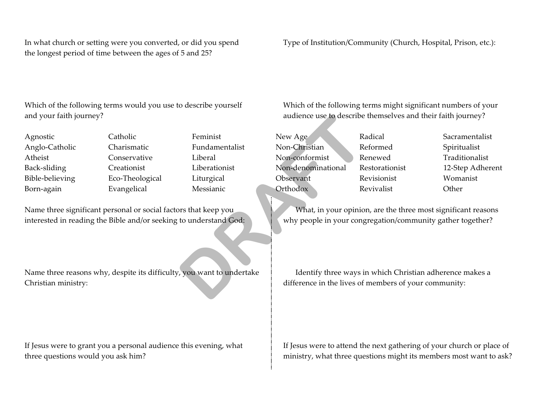In what church or setting were you converted, or did you spend Type of Institution/Community (Church, Hospital, Prison, etc.): the longest period of time between the ages of 5 and 25?

Which of the following terms would you use to describe yourself Which of the following terms might significant numbers of your and your faith journey? audience use to describe themselves and their faith journey?

Agnostic Anglo-Catholic Atheist Back-sliding Bible-believing Born-again

Catholic Charismatic Conservative Creationist Eco-Theological Evangelical

Feminist Fundamentalist Liberal Liberationist Liturgical Messianic

Name three significant personal or social factors that keep you What, in your opinion, are the three most significant reasons interested in reading the Bible and/or seeking to understand God: why people in your congregation/community gather together?

Name three reasons why, despite its difficulty, you want to undertake Identify three ways in which Christian adherence makes a Christian ministry: difference in the lives of members of your community:

New Age Non-Christian Non-conformist Non-denominational Observant **Orthodox** andience use to describe<br>
Feminist<br>
Fundamentalist<br>
Liberal<br>
Liberal<br>
Liberal<br>
Liberal<br>
Liberal<br>
Mon-Conformist<br>
Re<br>
Liberationist<br>
Liberationist<br>
Mon-denominational<br>
Re<br>
Liturgical<br>
Observant<br>
Re<br>
Messianic<br>
Orthodox<br>
Re<br>

Radical Reformed Renewed Restorationist Revisionist Revivalist

Sacramentalist Spiritualist Traditionalist 12-Step Adherent Womanist **Other** 

If Jesus were to grant you a personal audience this evening, what If Jesus were to attend the next gathering of your church or place of three questions would you ask him? ministry, what three questions might its members most want to ask?